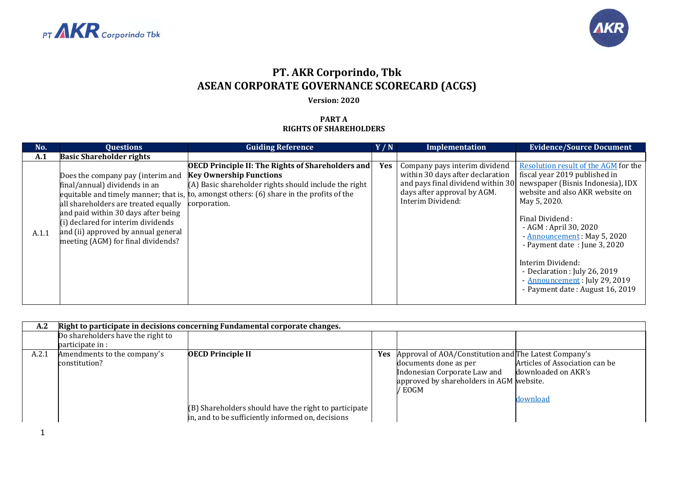



## **PT. AKR Corporindo, Tbk ASEAN CORPORATE GOVERNANCE SCORECARD (ACGS)**

## **Version: 2020**

## **PART A RIGHTS OF SHAREHOLDERS**

| No.   | <b>Questions</b>                                                                                                                                                                                                                                                     | <b>Guiding Reference</b>                                                                                                                                                                                                                                           | Y/N        | Implementation                                                                                                        | <b>Evidence/Source Document</b>                                                                                                                                                                                                                                                                                                                                                                                                       |
|-------|----------------------------------------------------------------------------------------------------------------------------------------------------------------------------------------------------------------------------------------------------------------------|--------------------------------------------------------------------------------------------------------------------------------------------------------------------------------------------------------------------------------------------------------------------|------------|-----------------------------------------------------------------------------------------------------------------------|---------------------------------------------------------------------------------------------------------------------------------------------------------------------------------------------------------------------------------------------------------------------------------------------------------------------------------------------------------------------------------------------------------------------------------------|
| A.1   | <b>Basic Shareholder rights</b>                                                                                                                                                                                                                                      |                                                                                                                                                                                                                                                                    |            |                                                                                                                       |                                                                                                                                                                                                                                                                                                                                                                                                                                       |
| A.1.1 | Does the company pay (interim and<br>final/annual) dividends in an<br>all shareholders are treated equally<br>and paid within 30 days after being<br>(i) declared for interim dividends<br>and (ii) approved by annual general<br>meeting (AGM) for final dividends? | <b>OECD Principle II: The Rights of Shareholders and</b><br><b>Key Ownership Functions</b><br>(A) Basic shareholder rights should include the right<br>equitable and timely manner; that is, to, amongst others: $(6)$ share in the profits of the<br>corporation. | <b>Yes</b> | Company pays interim dividend<br>within 30 days after declaration<br>days after approval by AGM.<br>Interim Dividend: | Resolution result of the AGM for the<br>fiscal year 2019 published in<br>and pays final dividend within 30 newspaper (Bisnis Indonesia), IDX<br>website and also AKR website on<br>May 5, 2020.<br>Final Dividend:<br>- AGM : April 30, 2020<br>- Announcement: May 5, 2020<br>- Payment date: June 3, 2020<br>Interim Dividend:<br>- Declaration : July 26, 2019<br>- Announcement: July 29, 2019<br>- Payment date: August 16, 2019 |

| A.2   |                                                       | Right to participate in decisions concerning Fundamental corporate changes.                                                            |     |                                                                                                                                                                      |                                                                   |
|-------|-------------------------------------------------------|----------------------------------------------------------------------------------------------------------------------------------------|-----|----------------------------------------------------------------------------------------------------------------------------------------------------------------------|-------------------------------------------------------------------|
|       | Do shareholders have the right to<br>participate in : |                                                                                                                                        |     |                                                                                                                                                                      |                                                                   |
| A.2.1 | Amendments to the company's<br>constitution?          | <b>OECD Principle II</b><br>(B) Shareholders should have the right to participate<br>in, and to be sufficiently informed on, decisions | Yes | Approval of AOA/Constitution and The Latest Company's<br>documents done as per<br>Indonesian Corporate Law and<br>approved by shareholders in AGM website.<br>/ EOGM | Articles of Association can be<br>downloaded on AKR's<br>download |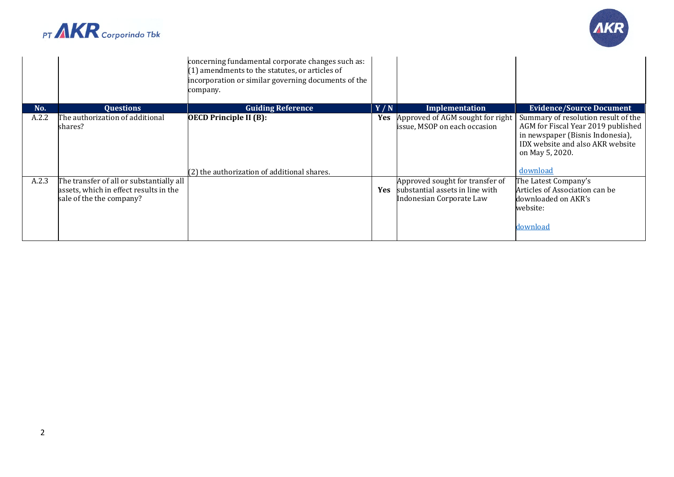



|       |                                                                    | concerning fundamental corporate changes such as:<br>(1) amendments to the statutes, or articles of<br>incorporation or similar governing documents of the<br>company. |            |                                                                  |                                                                                                                                                                                  |
|-------|--------------------------------------------------------------------|------------------------------------------------------------------------------------------------------------------------------------------------------------------------|------------|------------------------------------------------------------------|----------------------------------------------------------------------------------------------------------------------------------------------------------------------------------|
| No.   | <b>Ouestions</b>                                                   | <b>Guiding Reference</b>                                                                                                                                               | Y/N        | Implementation                                                   | <b>Evidence/Source Document</b>                                                                                                                                                  |
| A.2.2 | The authorization of additional<br>shares?                         | <b>OECD Principle II (B):</b><br>(2) the authorization of additional shares.                                                                                           | <b>Yes</b> | Approved of AGM sought for right<br>issue, MSOP on each occasion | Summary of resolution result of the<br>AGM for Fiscal Year 2019 published<br>in newspaper (Bisnis Indonesia),<br>IDX website and also AKR website<br>on May 5, 2020.<br>download |
| A.2.3 | The transfer of all or substantially all                           |                                                                                                                                                                        |            | Approved sought for transfer of                                  | The Latest Company's                                                                                                                                                             |
|       | assets, which in effect results in the<br>sale of the the company? |                                                                                                                                                                        | <b>Yes</b> | substantial assets in line with<br>Indonesian Corporate Law      | Articles of Association can be<br>downloaded on AKR's<br>website:<br>download                                                                                                    |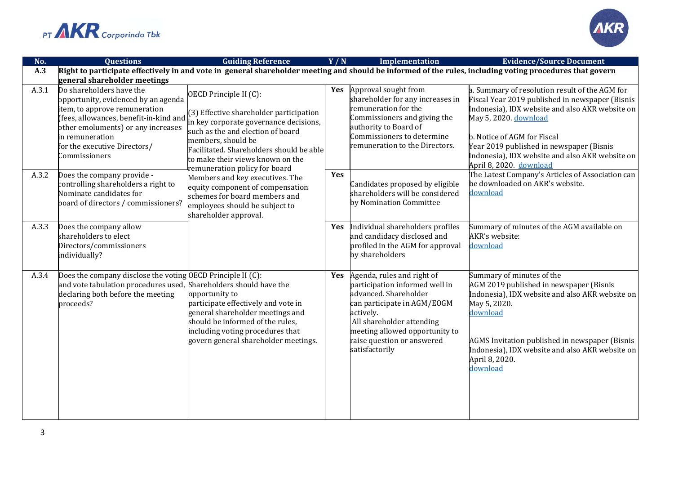



| No.   | <b>Ouestions</b>                                                                                                                                                                                                                                    | <b>Guiding Reference</b>                                                                                                                                                                                                                                                              | Y/N        | <b>Implementation</b>                                                                                                                                                                                                                            | <b>Evidence/Source Document</b>                                                                                                                                                                                                                                                                                                        |
|-------|-----------------------------------------------------------------------------------------------------------------------------------------------------------------------------------------------------------------------------------------------------|---------------------------------------------------------------------------------------------------------------------------------------------------------------------------------------------------------------------------------------------------------------------------------------|------------|--------------------------------------------------------------------------------------------------------------------------------------------------------------------------------------------------------------------------------------------------|----------------------------------------------------------------------------------------------------------------------------------------------------------------------------------------------------------------------------------------------------------------------------------------------------------------------------------------|
| A.3   |                                                                                                                                                                                                                                                     |                                                                                                                                                                                                                                                                                       |            |                                                                                                                                                                                                                                                  | Right to participate effectively in and vote in general shareholder meeting and should be informed of the rules, including voting procedures that govern                                                                                                                                                                               |
|       | general shareholder meetings                                                                                                                                                                                                                        |                                                                                                                                                                                                                                                                                       |            |                                                                                                                                                                                                                                                  |                                                                                                                                                                                                                                                                                                                                        |
| A.3.1 | Do shareholders have the<br>opportunity, evidenced by an agenda<br>item, to approve remuneration<br>fees, allowances, benefit-in-kind and<br>other emoluments) or any increases<br>in remuneration<br>for the executive Directors/<br>Commissioners | OECD Principle II (C):<br>(3) Effective shareholder participation<br>n key corporate governance decisions,<br>such as the and election of board<br>members, should be<br>Facilitated. Shareholders should be able<br>to make their views known on the<br>emuneration policy for board | Yes        | Approval sought from<br>shareholder for any increases in<br>remuneration for the<br>Commissioners and giving the<br>authority to Board of<br>Commissioners to determine<br>remuneration to the Directors.                                        | a. Summary of resolution result of the AGM for<br>Fiscal Year 2019 published in newspaper (Bisnis<br>Indonesia), IDX website and also AKR website on<br>May 5, 2020. download<br>b. Notice of AGM for Fiscal<br>Year 2019 published in newspaper (Bisnis<br>Indonesia), IDX website and also AKR website on<br>April 8, 2020. download |
| A.3.2 | Does the company provide -<br>controlling shareholders a right to<br>Nominate candidates for<br>board of directors / commissioners?                                                                                                                 | Members and key executives. The<br>equity component of compensation<br>schemes for board members and<br>employees should be subject to<br>shareholder approval.                                                                                                                       | Yes        | Candidates proposed by eligible<br>shareholders will be considered<br>by Nomination Committee                                                                                                                                                    | The Latest Company's Articles of Association can<br>be downloaded on AKR's website.<br>download                                                                                                                                                                                                                                        |
| A.3.3 | Does the company allow<br>shareholders to elect<br>Directors/commissioners<br>individually?                                                                                                                                                         |                                                                                                                                                                                                                                                                                       | <b>Yes</b> | Individual shareholders profiles<br>and candidacy disclosed and<br>profiled in the AGM for approval<br>by shareholders                                                                                                                           | Summary of minutes of the AGM available on<br>AKR's website:<br>download                                                                                                                                                                                                                                                               |
| A.3.4 | Does the company disclose the voting OECD Principle II (C):<br>and vote tabulation procedures used, Shareholders should have the<br>declaring both before the meeting<br>proceeds?                                                                  | opportunity to<br>participate effectively and vote in<br>general shareholder meetings and<br>should be informed of the rules,<br>including voting procedures that<br>govern general shareholder meetings.                                                                             | Yes        | Agenda, rules and right of<br>participation informed well in<br>advanced. Shareholder<br>can participate in AGM/EOGM<br>actively.<br>All shareholder attending<br>meeting allowed opportunity to<br>raise question or answered<br>satisfactorily | Summary of minutes of the<br>AGM 2019 published in newspaper (Bisnis<br>Indonesia), IDX website and also AKR website on<br>May 5, 2020.<br>download<br>AGMS Invitation published in newspaper (Bisnis<br>Indonesia), IDX website and also AKR website on<br>April 8, 2020.<br>download                                                 |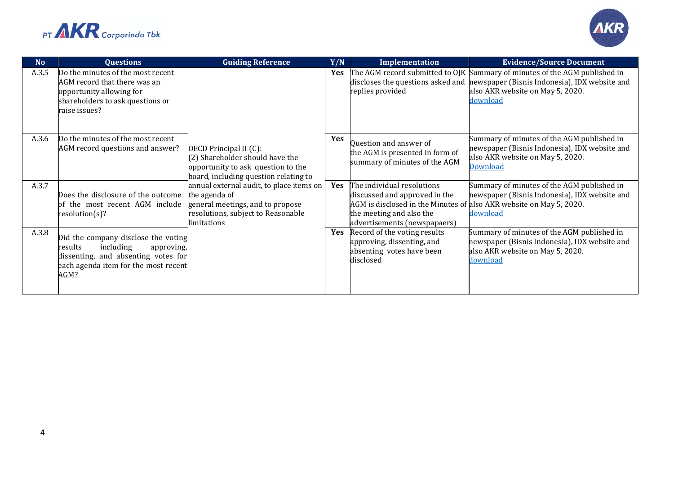



| <b>No</b> | <b>Questions</b>                                                                                                                                                 | <b>Guiding Reference</b>                                                                                                                           | Y/N        | Implementation                                                                                                                                                                                 | <b>Evidence/Source Document</b>                                                                                                                                                                               |
|-----------|------------------------------------------------------------------------------------------------------------------------------------------------------------------|----------------------------------------------------------------------------------------------------------------------------------------------------|------------|------------------------------------------------------------------------------------------------------------------------------------------------------------------------------------------------|---------------------------------------------------------------------------------------------------------------------------------------------------------------------------------------------------------------|
| A.3.5     | Do the minutes of the most recent<br>AGM record that there was an<br>opportunity allowing for<br>shareholders to ask questions or<br>raise issues?               |                                                                                                                                                    | <b>Yes</b> | replies provided                                                                                                                                                                               | The AGM record submitted to OJK Summary of minutes of the AGM published in<br>discloses the questions asked and mewspaper (Bisnis Indonesia), IDX website and<br>also AKR website on May 5, 2020.<br>download |
| A.3.6     | Do the minutes of the most recent<br>AGM record questions and answer?                                                                                            | OECD Principal II (C):<br>$(2)$ Shareholder should have the<br>opportunity to ask question to the<br>board, including question relating to         | Yes        | Question and answer of<br>the AGM is presented in form of<br>summary of minutes of the AGM                                                                                                     | Summary of minutes of the AGM published in<br>newspaper (Bisnis Indonesia), IDX website and<br>also AKR website on May 5, 2020.<br><b>Download</b>                                                            |
| A.3.7     | Does the disclosure of the outcome<br>of the most recent AGM include<br>resolution(s)?                                                                           | annual external audit, to place items on<br>the agenda of<br>general meetings, and to propose<br>resolutions, subject to Reasonable<br>limitations | Yes        | The individual resolutions<br>discussed and approved in the<br>AGM is disclosed in the Minutes of also AKR website on May 5, 2020.<br>the meeting and also the<br>advertisements (newspapaers) | Summary of minutes of the AGM published in<br>newspaper (Bisnis Indonesia), IDX website and<br>download                                                                                                       |
| A.3.8     | Did the company disclose the voting<br>including<br>results<br>approving,<br>dissenting, and absenting votes for<br>each agenda item for the most recent<br>AGM? |                                                                                                                                                    | <b>Yes</b> | Record of the voting results<br>approving, dissenting, and<br>absenting votes have been<br>disclosed                                                                                           | Summary of minutes of the AGM published in<br>newspaper (Bisnis Indonesia), IDX website and<br>also AKR website on May 5, 2020.<br>download                                                                   |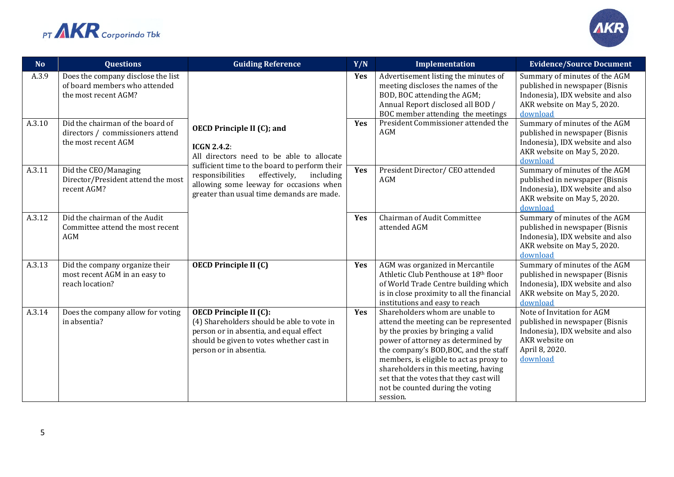



| <b>No</b> | <b>Questions</b>                                                                            | <b>Guiding Reference</b>                                                                                                                                                                     | Y/N | Implementation                                                                                                                                                                                                                                                                                                                                                             | <b>Evidence/Source Document</b>                                                                                                                  |
|-----------|---------------------------------------------------------------------------------------------|----------------------------------------------------------------------------------------------------------------------------------------------------------------------------------------------|-----|----------------------------------------------------------------------------------------------------------------------------------------------------------------------------------------------------------------------------------------------------------------------------------------------------------------------------------------------------------------------------|--------------------------------------------------------------------------------------------------------------------------------------------------|
| A.3.9     | Does the company disclose the list<br>of board members who attended<br>the most recent AGM? |                                                                                                                                                                                              | Yes | Advertisement listing the minutes of<br>meeting discloses the names of the<br>BOD, BOC attending the AGM;<br>Annual Report disclosed all BOD /<br>BOC member attending the meetings                                                                                                                                                                                        | Summary of minutes of the AGM<br>published in newspaper (Bisnis<br>Indonesia), IDX website and also<br>AKR website on May 5, 2020.<br>download   |
| A.3.10    | Did the chairman of the board of<br>directors / commissioners attend<br>the most recent AGM | <b>OECD Principle II (C); and</b><br><b>ICGN 2.4.2:</b><br>All directors need to be able to allocate                                                                                         | Yes | President Commissioner attended the<br>AGM                                                                                                                                                                                                                                                                                                                                 | Summary of minutes of the AGM<br>published in newspaper (Bisnis<br>Indonesia), IDX website and also<br>AKR website on May 5, 2020.<br>download   |
| A.3.11    | Did the CEO/Managing<br>Director/President attend the most<br>recent AGM?                   | sufficient time to the board to perform their<br>responsibilities<br>effectively,<br>including<br>allowing some leeway for occasions when<br>greater than usual time demands are made.       | Yes | President Director/ CEO attended<br><b>AGM</b>                                                                                                                                                                                                                                                                                                                             | Summary of minutes of the AGM<br>published in newspaper (Bisnis<br>Indonesia), IDX website and also<br>AKR website on May 5, 2020.<br>download   |
| A.3.12    | Did the chairman of the Audit<br>Committee attend the most recent<br><b>AGM</b>             |                                                                                                                                                                                              | Yes | Chairman of Audit Committee<br>attended AGM                                                                                                                                                                                                                                                                                                                                | Summary of minutes of the AGM<br>published in newspaper (Bisnis<br>Indonesia), IDX website and also<br>AKR website on May 5, 2020.<br>download   |
| A.3.13    | Did the company organize their<br>most recent AGM in an easy to<br>reach location?          | <b>OECD Principle II (C)</b>                                                                                                                                                                 | Yes | AGM was organized in Mercantile<br>Athletic Club Penthouse at 18th floor<br>of World Trade Centre building which<br>is in close proximity to all the financial<br>institutions and easy to reach                                                                                                                                                                           | Summary of minutes of the AGM<br>published in newspaper (Bisnis<br>Indonesia), IDX website and also<br>AKR website on May 5, 2020.<br>download   |
| A.3.14    | Does the company allow for voting<br>in absentia?                                           | <b>OECD Principle II (C):</b><br>(4) Shareholders should be able to vote in<br>person or in absentia, and equal effect<br>should be given to votes whether cast in<br>person or in absentia. | Yes | Shareholders whom are unable to<br>attend the meeting can be represented<br>by the proxies by bringing a valid<br>power of attorney as determined by<br>the company's BOD, BOC, and the staff<br>members, is eligible to act as proxy to<br>shareholders in this meeting, having<br>set that the votes that they cast will<br>not be counted during the voting<br>session. | Note of Invitation for AGM<br>published in newspaper (Bisnis<br>Indonesia), IDX website and also<br>AKR website on<br>April 8, 2020.<br>download |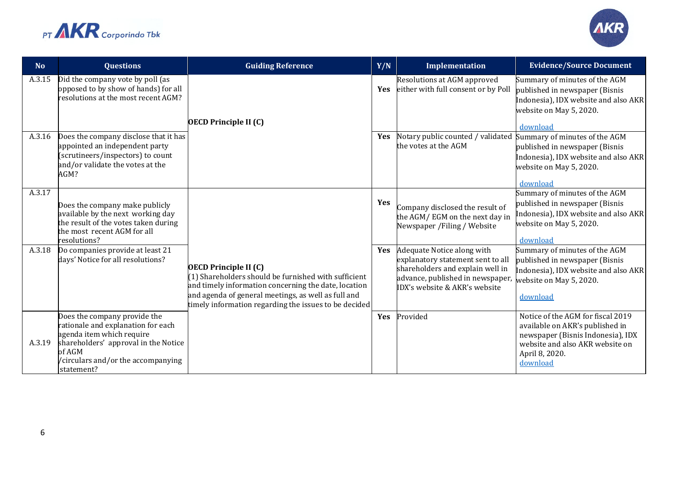



| No.    | <b>Questions</b>                                                                                                                                                                                     | <b>Guiding Reference</b>                                                                                                                                                                                                                                     | Y/N        | Implementation                                                                                                                                                           | <b>Evidence/Source Document</b>                                                                                                                                            |
|--------|------------------------------------------------------------------------------------------------------------------------------------------------------------------------------------------------------|--------------------------------------------------------------------------------------------------------------------------------------------------------------------------------------------------------------------------------------------------------------|------------|--------------------------------------------------------------------------------------------------------------------------------------------------------------------------|----------------------------------------------------------------------------------------------------------------------------------------------------------------------------|
| A.3.15 | Did the company vote by poll (as<br>opposed to by show of hands) for all<br>resolutions at the most recent AGM?                                                                                      | <b>OECD Principle II (C)</b>                                                                                                                                                                                                                                 | <b>Yes</b> | Resolutions at AGM approved<br>either with full consent or by Poll                                                                                                       | Summary of minutes of the AGM<br>published in newspaper (Bisnis<br>Indonesia), IDX website and also AKR<br>website on May 5, 2020.<br>download                             |
| A.3.16 | Does the company disclose that it has<br>appointed an independent party<br>(scrutineers/inspectors) to count<br>and/or validate the votes at the<br>AGM?                                             |                                                                                                                                                                                                                                                              | Yes        | Notary public counted / validated<br>the votes at the AGM                                                                                                                | Summary of minutes of the AGM<br>published in newspaper (Bisnis<br>Indonesia), IDX website and also AKR<br>website on May 5, 2020.<br>download                             |
| A.3.17 | Does the company make publicly<br>available by the next working day<br>the result of the votes taken during<br>the most recent AGM for all<br>resolutions?                                           |                                                                                                                                                                                                                                                              | Yes        | Company disclosed the result of<br>the AGM/EGM on the next day in<br>Newspaper / Filing / Website                                                                        | Summary of minutes of the AGM<br>published in newspaper (Bisnis<br>Indonesia), IDX website and also AKR<br>website on May 5, 2020.<br>download                             |
| A.3.18 | Do companies provide at least 21<br>days' Notice for all resolutions?                                                                                                                                | <b>OECD Principle II (C)</b><br>(1) Shareholders should be furnished with sufficient<br>and timely information concerning the date, location<br>and agenda of general meetings, as well as full and<br>timely information regarding the issues to be decided | Yes        | Adequate Notice along with<br>explanatory statement sent to all<br>shareholders and explain well in<br>advance, published in newspaper,<br>IDX's website & AKR's website | Summary of minutes of the AGM<br>published in newspaper (Bisnis<br>Indonesia), IDX website and also AKR<br>website on May 5, 2020.<br>download                             |
| A.3.19 | Does the company provide the<br>ationale and explanation for each<br>agenda item which require<br>shareholders' approval in the Notice<br>of AGM<br>/circulars and/or the accompanying<br>statement? |                                                                                                                                                                                                                                                              | Yes        | Provided                                                                                                                                                                 | Notice of the AGM for fiscal 2019<br>available on AKR's published in<br>newspaper (Bisnis Indonesia), IDX<br>website and also AKR website on<br>April 8, 2020.<br>download |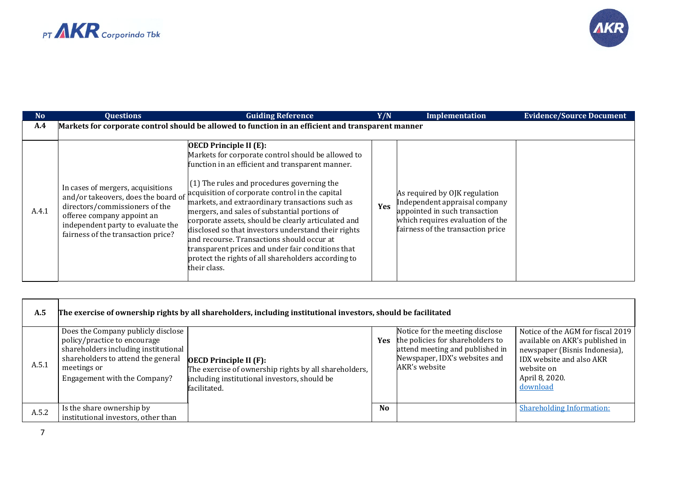



| N <sub>o</sub> | <b>Questions</b>                                                                                                                                                             | <b>Guiding Reference</b>                                                                                                                                                                                                                                                                                                                                                                                                                                                                                                                                                                                                                                                                 | Y/N | Implementation                                                                                                                                                           | <b>Evidence/Source Document</b> |
|----------------|------------------------------------------------------------------------------------------------------------------------------------------------------------------------------|------------------------------------------------------------------------------------------------------------------------------------------------------------------------------------------------------------------------------------------------------------------------------------------------------------------------------------------------------------------------------------------------------------------------------------------------------------------------------------------------------------------------------------------------------------------------------------------------------------------------------------------------------------------------------------------|-----|--------------------------------------------------------------------------------------------------------------------------------------------------------------------------|---------------------------------|
| A.4            |                                                                                                                                                                              | Markets for corporate control should be allowed to function in an efficient and transparent manner                                                                                                                                                                                                                                                                                                                                                                                                                                                                                                                                                                                       |     |                                                                                                                                                                          |                                 |
| A.4.1          | In cases of mergers, acquisitions<br>directors/commissioners of the<br>offeree company appoint an<br>independent party to evaluate the<br>fairness of the transaction price? | <b>OECD</b> Principle II (E):<br>Markets for corporate control should be allowed to<br>function in an efficient and transparent manner.<br>$(1)$ The rules and procedures governing the<br>$\frac{1}{2}$ and/or takeovers, does the board of acquisition of corporate control in the capital<br>markets, and extraordinary transactions such as<br>mergers, and sales of substantial portions of<br>corporate assets, should be clearly articulated and<br>disclosed so that investors understand their rights<br>and recourse. Transactions should occur at<br>transparent prices and under fair conditions that<br>protect the rights of all shareholders according to<br>their class. | Yes | As required by OJK regulation<br>Independent appraisal company<br>appointed in such transaction<br>which requires evaluation of the<br>fairness of the transaction price |                                 |

| A.5   | The exercise of ownership rights by all shareholders, including institutional investors, should be facilitated                                                                                  |                                                                                                                                                        |                |                                                                                                                                                          |                                                                                                                                                                               |
|-------|-------------------------------------------------------------------------------------------------------------------------------------------------------------------------------------------------|--------------------------------------------------------------------------------------------------------------------------------------------------------|----------------|----------------------------------------------------------------------------------------------------------------------------------------------------------|-------------------------------------------------------------------------------------------------------------------------------------------------------------------------------|
| A.5.1 | Does the Company publicly disclose<br>policy/practice to encourage<br>shareholders including institutional<br>shareholders to attend the general<br>meetings or<br>Engagement with the Company? | <b>OECD Principle II (F):</b><br>The exercise of ownership rights by all shareholders,<br>including institutional investors, should be<br>facilitated. | <b>Yes</b>     | Notice for the meeting disclose<br>the policies for shareholders to<br>attend meeting and published in<br>Newspaper, IDX's websites and<br>AKR's website | Notice of the AGM for fiscal 2019<br>available on AKR's published in<br>newspaper (Bisnis Indonesia),<br>IDX website and also AKR<br>website on<br>April 8, 2020.<br>download |
| A.5.2 | Is the share ownership by<br>institutional investors, other than                                                                                                                                |                                                                                                                                                        | N <sub>0</sub> |                                                                                                                                                          | <b>Shareholding Information:</b>                                                                                                                                              |